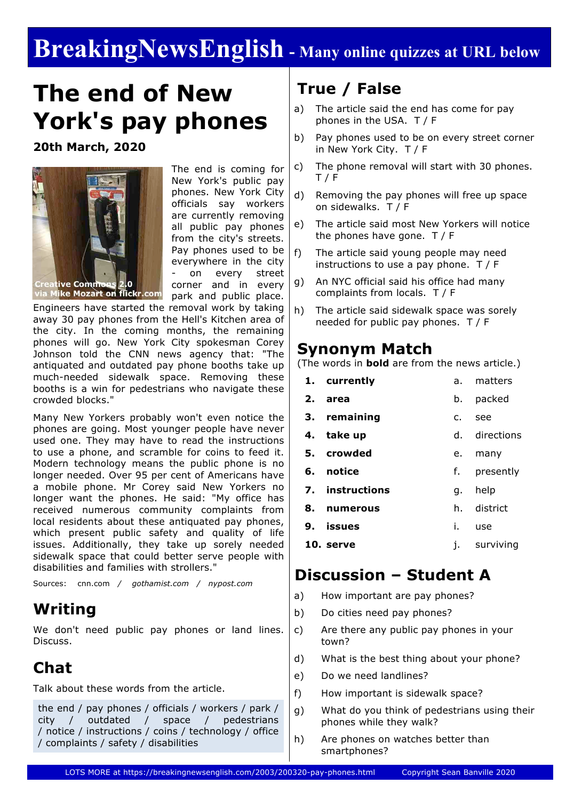# **BreakingNewsEnglish - Many online quizzes at URL below**

# **The end of New York's pay phones**

**20th March, 2020**



The end is coming for New York's public pay phones. New York City officials say workers are currently removing all public pay phones from the city's streets. Pay phones used to be everywhere in the city on every street corner and in every park and public place.

via Mike Mozart on flickr.com

Engineers have started the removal work by taking away 30 pay phones from the Hell's Kitchen area of the city. In the coming months, the remaining phones will go. New York City spokesman Corey Johnson told the CNN news agency that: "The antiquated and outdated pay phone booths take up much-needed sidewalk space. Removing these booths is a win for pedestrians who navigate these crowded blocks."

Many New Yorkers probably won't even notice the phones are going. Most younger people have never used one. They may have to read the instructions to use a phone, and scramble for coins to feed it. Modern technology means the public phone is no longer needed. Over 95 per cent of Americans have a mobile phone. Mr Corey said New Yorkers no longer want the phones. He said: "My office has received numerous community complaints from local residents about these antiquated pay phones, which present public safety and quality of life issues. Additionally, they take up sorely needed sidewalk space that could better serve people with disabilities and families with strollers."

Sources: cnn.com */ gothamist.com / nypost.com*

### **Writing**

We don't need public pay phones or land lines. Discuss.

# **Chat**

Talk about these words from the article.

the end / pay phones / officials / workers / park / city / outdated / space / pedestrians / notice / instructions / coins / technology / office / complaints / safety / disabilities

## **True / False**

- a) The article said the end has come for pay phones in the USA. T / F
- b) Pay phones used to be on every street corner in New York City. T / F
- c) The phone removal will start with 30 phones. T / F
- d) Removing the pay phones will free up space on sidewalks. T / F
- e) The article said most New Yorkers will notice the phones have gone. T / F
- f) The article said young people may need instructions to use a pay phone. T / F
- g) An NYC official said his office had many complaints from locals. T / F
- h) The article said sidewalk space was sorely needed for public pay phones. T / F

#### **Synonym Match**

(The words in **bold** are from the news article.)

|    | 1. currently    | a. | matters       |
|----|-----------------|----|---------------|
| 2. | area            | b. | packed        |
|    | 3. remaining    | c. | see           |
|    | 4. take up      |    | d. directions |
|    | 5. crowded      | е. | many          |
|    |                 |    |               |
|    | 6. notice       | f. | presently     |
|    | 7. instructions | q. | help          |
| 8. | numerous        | h. | district      |
| 9. | issues          | i. | use           |

## **Discussion – Student A**

- a) How important are pay phones?
- b) Do cities need pay phones?
- c) Are there any public pay phones in your town?
- d) What is the best thing about your phone?
- e) Do we need landlines?
- f) How important is sidewalk space?
- g) What do you think of pedestrians using their phones while they walk?
- h) Are phones on watches better than smartphones?